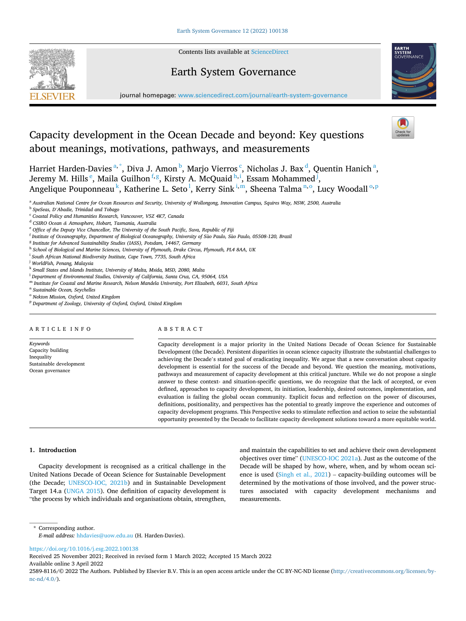**SEVIER** 



# Earth System Governance



journal homepage: [www.sciencedirect.com/journal/earth-system-governance](https://www.sciencedirect.com/journal/earth-system-governance)

# Capacity development in the Ocean Decade and beyond: Key questions about meanings, motivations, pathways, and measurements



Harriet Harden-Davies  $a^*$ , Diva J. Amon  $^{\rm b}$ , Marjo Vierros  $^{\rm c}$ , Nicholas J. Bax  $^{\rm d}$ , Quentin Hanich  $^{\rm a}$ , Jeremy M. Hills <sup>e</sup>, Maila Guilhon <sup>f,g</sup>, Kirsty A. McQuaid h,i, Essam Mohammed <sup>j</sup>, Angelique Pouponneau $^{\rm k}$ , Katherine L. Seto $^{\rm l}$ , Kerry Sink $^{\rm i,m}$ , Sheena Talma $^{\rm n,o}$ , Lucy Woodall $^{\rm o,p}$ 

<sup>a</sup> *Australian National Centre for Ocean Resources and Security, University of Wollongong, Innovation Campus, Squires Way, NSW, 2500, Australia* 

- <sup>f</sup> *Institute of Oceanography, Department of Biological Oceanography, University of Sao* ˜ *Paulo, Sao* ˜ *Paulo, 05508-120, Brazil*
- <sup>g</sup> *Institute for Advanced Sustainability Studies (IASS), Potsdam, 14467, Germany*
- <sup>h</sup> *School of Biological and Marine Sciences, University of Plymouth, Drake Circus, Plymouth, PL4 8AA, UK*
- <sup>i</sup> *South African National Biodiversity Institute, Cape Town, 7735, South Africa*
- <sup>j</sup> *WorldFish, Penang, Malaysia*
- <sup>k</sup> *Small States and Islands Institute, University of Malta, Msida, MSD, 2080, Malta*
- <sup>l</sup> *Department of Environmental Studies, University of California, Santa Cruz, CA, 95064, USA*
- <sup>m</sup> *Institute for Coastal and Marine Research, Nelson Mandela University, Port Elizabeth, 6031, South Africa*
- <sup>n</sup> *Sustainable Ocean, Seychelles*
- <sup>o</sup> *Nekton Mission, Oxford, United Kingdom*
- <sup>p</sup> *Department of Zoology, University of Oxford, Oxford, United Kingdom*

# ARTICLE INFO

*Keywords*  Capacity building Inequality Sustainable development Ocean governance

# ABSTRACT

Capacity development is a major priority in the United Nations Decade of Ocean Science for Sustainable Development (the Decade). Persistent disparities in ocean science capacity illustrate the substantial challenges to achieving the Decade's stated goal of eradicating inequality. We argue that a new conversation about capacity development is essential for the success of the Decade and beyond. We question the meaning, motivations, pathways and measurement of capacity development at this critical juncture. While we do not propose a single answer to these context- and situation-specific questions, we do recognize that the lack of accepted, or even defined, approaches to capacity development, its initiation, leadership, desired outcomes, implementation, and evaluation is failing the global ocean community. Explicit focus and reflection on the power of discourses, definitions, positionality, and perspectives has the potential to greatly improve the experience and outcomes of capacity development programs. This Perspective seeks to stimulate reflection and action to seize the substantial opportunity presented by the Decade to facilitate capacity development solutions toward a more equitable world.

## **1. Introduction**

Capacity development is recognised as a critical challenge in the United Nations Decade of Ocean Science for Sustainable Development (the Decade; [UNESCO-IOC, 2021b](#page-5-0)) and in Sustainable Development Target 14.a ([UNGA 2015](#page-5-0)). One definition of capacity development is "the process by which individuals and organisations obtain, strengthen, and maintain the capabilities to set and achieve their own development objectives over time" [\(UNESCO-IOC 2021a\)](#page-5-0). Just as the outcome of the Decade will be shaped by how, where, when, and by whom ocean science is used ([Singh et al., 2021\)](#page-5-0) – capacity-building outcomes will be determined by the motivations of those involved, and the power structures associated with capacity development mechanisms and measurements.

\* Corresponding author. *E-mail address:* [hhdavies@uow.edu.au](mailto:hhdavies@uow.edu.au) (H. Harden-Davies).

<https://doi.org/10.1016/j.esg.2022.100138>

Available online 3 April 2022 Received 25 November 2021; Received in revised form 1 March 2022; Accepted 15 March 2022

<sup>b</sup> *SpeSeas, D'Abadie, Trinidad and Tobago* 

<sup>c</sup> *Coastal Policy and Humanities Research, Vancouver, V5Z 4K7, Canada* 

<sup>d</sup> *CSIRO Ocean & Atmosphere, Hobart, Tasmania, Australia* 

<sup>e</sup> *Office of the Deputy Vice Chancellor, The University of the South Pacific, Suva, Republic of Fiji* 

<sup>2589-8116/© 2022</sup> The Authors. Published by Elsevier B.V. This is an open access article under the CC BY-NC-ND license([http://creativecommons.org/licenses/by](http://creativecommons.org/licenses/by-nc-nd/4.0/)[nc-nd/4.0/](http://creativecommons.org/licenses/by-nc-nd/4.0/)).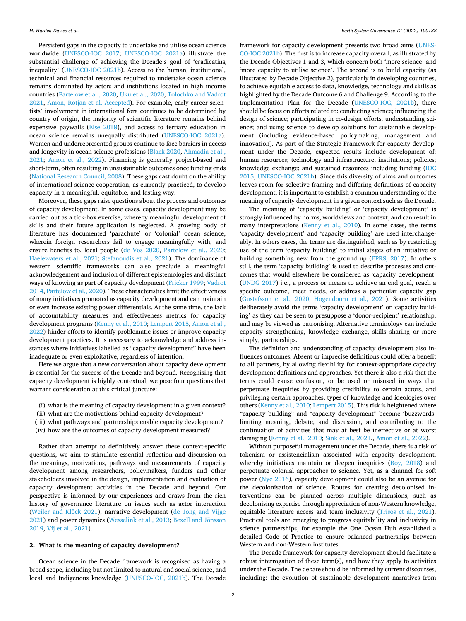<span id="page-1-0"></span>Persistent gaps in the capacity to undertake and utilise ocean science worldwide ([UNESCO-IOC 2017;](#page-5-0) [UNESCO-IOC 2021a\)](#page-5-0) illustrate the substantial challenge of achieving the Decade's goal of 'eradicating inequality' ([UNESCO-IOC 2021b\)](#page-5-0). Access to the human, institutional, technical and financial resources required to undertake ocean science remains dominated by actors and institutions located in high income countries [\(Partelow et al., 2020, Uku et al., 2020, Tolochko and Vadrot](#page-5-0)  [2021,](#page-5-0) [Amon, Rotjan et al. Accepted](#page-5-0)). For example, early-career scientists' involvement in international fora continues to be determined by country of origin, the majority of scientific literature remains behind expensive paywalls [\(Else 2018\)](#page-5-0), and access to tertiary education in ocean science remains unequally distributed ([UNESCO-IOC 2021a](#page-5-0)). Women and underrepresented groups continue to face barriers in access and longevity in ocean science professions [\(Black 2020, Ahmadia et al.,](#page-5-0)  [2021;](#page-5-0) [Amon et al., 2022](#page-5-0)). Financing is generally project-based and short-term, often resulting in unsustainable outcomes once funding ends ([National Research Council, 2008\)](#page-5-0). These gaps cast doubt on the ability of international science cooperation, as currently practiced, to develop capacity in a meaningful, equitable, and lasting way.

Moreover, these gaps raise questions about the process and outcomes of capacity development. In some cases, capacity development may be carried out as a tick-box exercise, whereby meaningful development of skills and their future application is neglected. A growing body of literature has documented 'parachute' or 'colonial' ocean science, wherein foreign researchers fail to engage meaningfully with, and ensure benefits to, local people ([de Vos 2020,](#page-5-0) [Partelow et al., 2020](#page-5-0); [Haelewaters et al., 2021](#page-5-0); [Stefanoudis et al., 2021\)](#page-5-0). The dominance of western scientific frameworks can also preclude a meaningful acknowledgement and inclusion of different epistemologies and distinct ways of knowing as part of capacity development ([Fricker 1999](#page-5-0); [Vadrot](#page-5-0)  [2014, Partelow et al., 2020](#page-5-0)). These characteristics limit the effectiveness of many initiatives promoted as capacity development and can maintain or even increase existing power differentials. At the same time, the lack of accountability measures and effectiveness metrics for capacity development programs ([Kenny et al., 2010; Lempert 2015](#page-5-0), [Amon et al.,](#page-5-0)  [2022\)](#page-5-0) hinder efforts to identify problematic issues or improve capacity development practices. It is necessary to acknowledge and address instances where initiatives labelled as "capacity development" have been inadequate or even exploitative, regardless of intention.

Here we argue that a new conversation about capacity development is essential for the success of the Decade and beyond. Recognising that capacity development is highly contextual, we pose four questions that warrant consideration at this critical juncture:

- (i) what is the meaning of capacity development in a given context?
- (ii) what are the motivations behind capacity development?
- (iii) what pathways and partnerships enable capacity development?
- (iv) how are the outcomes of capacity development measured?

Rather than attempt to definitively answer these context-specific questions, we aim to stimulate essential reflection and discussion on the meanings, motivations, pathways and measurements of capacity development among researchers, policymakers, funders and other stakeholders involved in the design, implementation and evaluation of capacity development activities in the Decade and beyond. Our perspective is informed by our experiences and draws from the rich history of governance literature on issues such as actor interaction (Weiler and Klöck 2021), narrative development (de Jong and Vijge [2021\)](#page-5-0) and power dynamics [\(Wesselink et al., 2013;](#page-6-0) Bexell and Jönsson [2019, Vij et al., 2021\)](#page-5-0).

## **2. What is the meaning of capacity development?**

Ocean science in the Decade framework is recognised as having a broad scope, including but not limited to natural and social science, and local and Indigenous knowledge [\(UNESCO-IOC, 2021b](#page-5-0)). The Decade framework for capacity development presents two broad aims ([UNES-](#page-5-0)[CO-IOC 2021b\)](#page-5-0). The first is to increase capacity overall, as illustrated by the Decade Objectives 1 and 3, which concern both 'more science' and 'more capacity to utilise science'. The second is to build capacity (as illustrated by Decade Objective 2), particularly in developing countries, to achieve equitable access to data, knowledge, technology and skills as highlighted by the Decade Outcome 6 and Challenge 9. According to the Implementation Plan for the Decade ([UNESCO-IOC, 2021b](#page-5-0)), there should be focus on efforts related to: conducting science; influencing the design of science; participating in co-design efforts; understanding science; and using science to develop solutions for sustainable development (including evidence-based policymaking, management and innovation). As part of the Strategic Framework for capacity development under the Decade, expected results include development of: human resources; technology and infrastructure; institutions; policies; knowledge exchange; and sustained resources including funding [\(IOC](#page-5-0)  [2015, UNESCO-IOC 2021b\)](#page-5-0). Since this diversity of aims and outcomes leaves room for selective framing and differing definitions of capacity development, it is important to establish a common understanding of the meaning of capacity development in a given context such as the Decade.

The meaning of 'capacity building' or 'capacity development' is strongly influenced by norms, worldviews and context, and can result in many interpretations ([Kenny et al., 2010](#page-5-0)). In some cases, the terms 'capacity development' and 'capacity building' are used interchangeably. In others cases, the terms are distinguished, such as by restricting use of the term 'capacity building' to initial stages of an initiative or building something new from the ground up [\(EPRS, 2017](#page-5-0)). In others still, the term 'capacity building' is used to describe processes and outcomes that would elsewhere be considered as 'capacity development' ([UNDG 2017\)](#page-5-0) i.e., a process or means to achieve an end goal, reach a specific outcome, meet needs, or address a particular capacity gap ([Gustafsson et al., 2020](#page-5-0), [Hogendoorn et al., 2021](#page-5-0)). Some activities deliberately avoid the terms 'capacity development' or 'capacity building' as they can be seen to presuppose a 'donor-recipient' relationship, and may be viewed as patronising. Alternative terminology can include capacity strengthening, knowledge exchange, skills sharing or more simply, partnerships.

The definition and understanding of capacity development also influences outcomes. Absent or imprecise definitions could offer a benefit to all partners, by allowing flexibility for context-appropriate capacity development definitions and approaches. Yet there is also a risk that the terms could cause confusion, or be used or misused in ways that perpetuate inequities by providing credibility to certain actors, and privileging certain approaches, types of knowledge and ideologies over others [\(Kenny et al., 2010](#page-5-0); [Lempert 2015](#page-5-0)). This risk is heightened where "capacity building" and "capacity development" become 'buzzwords' limiting meaning, debate, and discussion, and contributing to the continuation of activities that may at best be ineffective or at worst damaging ([Kenny et al., 2010; Sink et al., 2021](#page-5-0)., [Amon et al., 2022\)](#page-5-0).

Without purposeful management under the Decade, there is a risk of tokenism or assistencialism associated with capacity development, whereby initiatives maintain or deepen inequities [\(Roy, 2018](#page-5-0)) and perpetuate colonial approaches to science. Yet, as a channel for soft power [\(Nye 2016](#page-5-0)), capacity development could also be an avenue for the decolonisation of science. Routes for creating decolonised interventions can be planned across multiple dimensions, such as decolonising expertise through appreciation of non-Western knowledge, equitable literature access and team inclusivity [\(Trisos et al., 2021](#page-5-0)). Practical tools are emerging to progress equitability and inclusivity in science partnerships, for example the One Ocean Hub established a detailed Code of Practice to ensure balanced partnerships between Western and non-Western institutes.

The Decade framework for capacity development should facilitate a robust interrogation of these term(s), and how they apply to activities under the Decade. The debate should be informed by current discourses, including: the evolution of sustainable development narratives from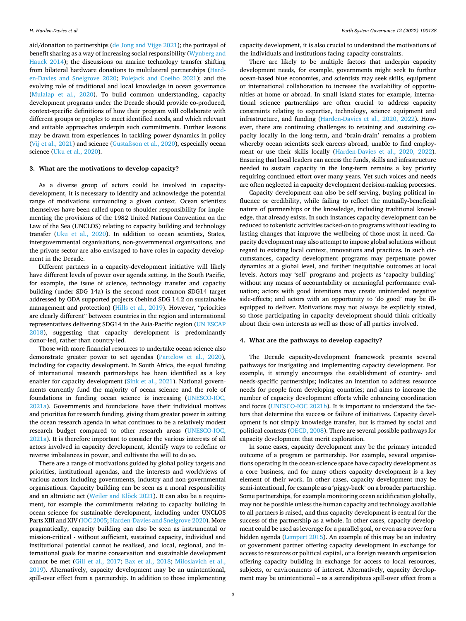aid/donation to partnerships ([de Jong and Vijge 2021\)](#page-5-0); the portrayal of benefit sharing as a way of increasing social responsibility [\(Wynberg and](#page-6-0)  [Hauck 2014\)](#page-6-0); the discussions on marine technology transfer shifting from bilateral hardware donations to multilateral partnerships ([Hard](#page-5-0)[en-Davies and Snelgrove 2020](#page-5-0); [Polejack and Coelho 2021\)](#page-5-0); and the evolving role of traditional and local knowledge in ocean governance ([Mulalap et al., 2020](#page-5-0)). To build common understanding, capacity development programs under the Decade should provide co-produced, context-specific definitions of how their program will collaborate with different groups or peoples to meet identified needs, and which relevant and suitable approaches underpin such commitments. Further lessons may be drawn from experiences in tackling power dynamics in policy ([Vij et al., 2021\)](#page-5-0) and science ([Gustafsson et al., 2020\)](#page-5-0), especially ocean science [\(Uku et al., 2020](#page-5-0)).

## **3. What are the motivations to develop capacity?**

As a diverse group of actors could be involved in capacitydevelopment, it is necessary to identify and acknowledge the potential range of motivations surrounding a given context. Ocean scientists themselves have been called upon to shoulder responsibility for implementing the provisions of the 1982 United Nations Convention on the Law of the Sea (UNCLOS) relating to capacity building and technology transfer [\(Uku et al., 2020](#page-5-0)). In addition to ocean scientists, States, intergovernmental organisations, non-governmental organisations, and the private sector are also envisaged to have roles in capacity development in the Decade.

Different partners in a capacity-development initiative will likely have different levels of power over agenda setting. In the South Pacific, for example, the issue of science, technology transfer and capacity building (under SDG 14a) is the second most common SDG14 target addressed by ODA supported projects (behind SDG 14.2 on sustainable management and protection) [\(Hills et al., 2019\)](#page-5-0). However, "priorities are clearly different" between countries in the region and international representatives delivering SDG14 in the Asia-Pacific region [\(UN ESCAP](#page-5-0)  [2018\)](#page-5-0), suggesting that capacity development is predominantly donor-led, rather than country-led.

Those with more financial resources to undertake ocean science also demonstrate greater power to set agendas [\(Partelow et al., 2020](#page-5-0)), including for capacity development. In South Africa, the equal funding of international research partnerships has been identified as a key enabler for capacity development [\(Sink et al., 2021](#page-5-0)). National governments currently fund the majority of ocean science and the role of foundations in funding ocean science is increasing [\(UNESCO-IOC,](#page-5-0)  [2021a\)](#page-5-0). Governments and foundations have their individual motives and priorities for research funding, giving them greater power in setting the ocean research agenda in what continues to be a relatively modest research budget compared to other research areas [\(UNESCO-IOC,](#page-5-0)  [2021a\)](#page-5-0). It is therefore important to consider the various interests of all actors involved in capacity development, identify ways to redefine or reverse imbalances in power, and cultivate the will to do so.

There are a range of motivations guided by global policy targets and priorities, institutional agendas, and the interests and worldviews of various actors including governments, industry and non-governmental organisations. Capacity building can be seen as a moral responsibility and an altruistic act (Weiler and Klöck 2021). It can also be a requirement, for example the commitments relating to capacity building in ocean science for sustainable development, including under UNCLOS Parts XIII and XIV ([IOC 2005](#page-5-0); [Harden-Davies and Snelgrove 2020](#page-5-0)). More pragmatically, capacity building can also be seen as instrumental or mission-critical - without sufficient, sustained capacity, individual and institutional potential cannot be realised, and local, regional, and international goals for marine conservation and sustainable development cannot be met [\(Gill et al., 2017](#page-5-0); [Bax et al., 2018](#page-5-0); [Miloslavich et al.,](#page-5-0)  [2019\)](#page-5-0). Alternatively, capacity development may be an unintentional, spill-over effect from a partnership. In addition to those implementing capacity development, it is also crucial to understand the motivations of the individuals and institutions facing capacity constraints.

There are likely to be multiple factors that underpin capacity development needs, for example, governments might seek to further ocean-based blue economies, and scientists may seek skills, equipment or international collaboration to increase the availability of opportunities at home or abroad. In small island states for example, international science partnerships are often crucial to address capacity constraints relating to expertise, technology, science equipment and infrastructure, and funding ([Harden-Davies et al., 2020, 2022](#page-5-0)). However, there are continuing challenges to retaining and sustaining capacity locally in the long-term, and 'brain-drain' remains a problem whereby ocean scientists seek careers abroad, unable to find employment or use their skills locally ([Harden-Davies et al., 2020, 2022](#page-5-0)). Ensuring that local leaders can access the funds, skills and infrastructure needed to sustain capacity in the long-term remains a key priority requiring continued effort over many years. Yet such voices and needs are often neglected in capacity development decision-making processes.

Capacity development can also be self-serving, buying political influence or credibility, while failing to reflect the mutually-beneficial nature of partnerships or the knowledge, including traditional knowledge, that already exists. In such instances capacity development can be reduced to tokenistic activities tacked-on to programs without leading to lasting changes that improve the wellbeing of those most in need. Capacity development may also attempt to impose global solutions without regard to existing local context, innovations and practices. In such circumstances, capacity development programs may perpetuate power dynamics at a global level, and further inequitable outcomes at local levels. Actors may 'sell' programs and projects as 'capacity building' without any means of accountability or meaningful performance evaluation; actors with good intentions may create unintended negative side-effects; and actors with an opportunity to 'do good' may be illequipped to deliver. Motivations may not always be explicitly stated, so those participating in capacity development should think critically about their own interests as well as those of all parties involved.

#### **4. What are the pathways to develop capacity?**

The Decade capacity-development framework presents several pathways for instigating and implementing capacity development. For example, it strongly encourages the establishment of country- and needs-specific partnerships; indicates an intention to address resource needs for people from developing countries; and aims to increase the number of capacity development efforts while enhancing coordination and focus [\(UNESCO-IOC 2021b](#page-5-0)). It is important to understand the factors that determine the success or failure of initiatives. Capacity development is not simply knowledge transfer, but is framed by social and political contexts [\(OECD, 2008](#page-5-0)). There are several possible pathways for capacity development that merit exploration.

In some cases, capacity development may be the primary intended outcome of a program or partnership. For example, several organisations operating in the ocean-science space have capacity development as a core business, and for many others capacity development is a key element of their work. In other cases, capacity development may be semi-intentional, for example as a 'piggy-back' on a broader partnership. Some partnerships, for example monitoring ocean acidification globally, may not be possible unless the human capacity and technology available to all partners is raised, and thus capacity development is central for the success of the partnership as a whole. In other cases, capacity development could be used as leverage for a parallel goal, or even as a cover for a hidden agenda ([Lempert 2015](#page-5-0)). An example of this may be an industry or government partner offering capacity development in exchange for access to resources or political capital, or a foreign research organisation offering capacity building in exchange for access to local resources, subjects, or environments of interest. Alternatively, capacity development may be unintentional – as a serendipitous spill-over effect from a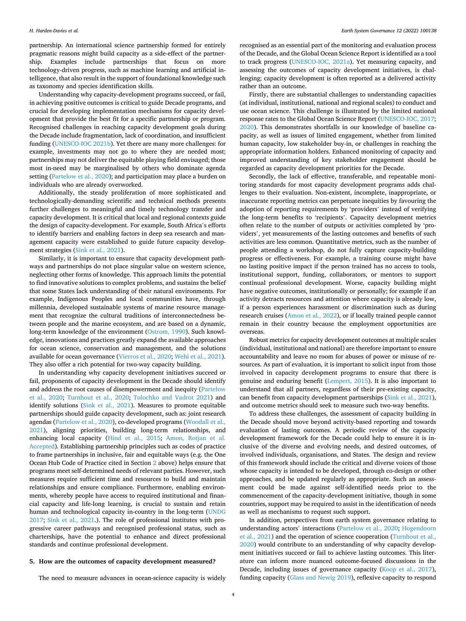partnership. An international science partnership formed for entirely pragmatic reasons might build capacity as a side-effect of the partnership. Examples include partnerships that focus on more technology-driven progress, such as machine learning and artificial intelligence, that also result in the support of foundational knowledge such as taxonomy and species identification skills.

Understanding why capacity-development programs succeed, or fail, in achieving positive outcomes is critical to guide Decade programs, and crucial for developing implementation mechanisms for capacity development that provide the best fit for a specific partnership or program. Recognised challenges in reaching capacity development goals during the Decade include fragmentation, lack of coordination, and insufficient funding ([UNESCO-IOC 2021b](#page-5-0)). Yet there are many more challenges: for example, investments may not go to where they are needed most; partnerships may not deliver the equitable playing field envisaged; those most in-need may be marginalised by others who dominate agenda setting [\(Partelow et al., 2020](#page-5-0)); and participation may place a burden on individuals who are already overworked.

Additionally, the steady proliferation of more sophisticated and technologically-demanding scientific and technical methods presents further challenges to meaningful and timely technology transfer and capacity development. It is critical that local and regional contexts guide the design of capacity-development. For example, South Africa's efforts to identify barriers and enabling factors in deep sea research and management capacity were established to guide future capacity development strategies ([Sink et al., 2021\)](#page-5-0).

Similarly, it is important to ensure that capacity development pathways and partnerships do not place singular value on western science, neglecting other forms of knowledge. This approach limits the potential to find innovative solutions to complex problems, and sustains the belief that some States lack understanding of their natural environments. For example, Indigenous Peoples and local communities have, through millennia, developed sustainable systems of marine resource management that recognize the cultural traditions of interconnectedness between people and the marine ecosystem, and are based on a dynamic, long-term knowledge of the environment ([Ostrom, 1990](#page-5-0)). Such knowledge, innovations and practices greatly expand the available approaches for ocean science, conservation and management, and the solutions available for ocean governance ([Vierros et al., 2020](#page-5-0); [Wehi et al., 2021](#page-5-0)). They also offer a rich potential for two-way capacity building.

In understanding why capacity development initiatives succeed or fail, proponents of capacity development in the Decade should identify and address the root causes of disempowerment and inequity [\(Partelow](#page-5-0)  [et al., 2020](#page-5-0); [Turnhout et al., 2020](#page-5-0); [Tolochko and Vadrot 2021](#page-5-0)) and identify solutions [\(Sink et al., 2021](#page-5-0)). Measures to promote equitable partnerships should guide capacity development, such as: joint research agendas ([Partelow et al., 2020\)](#page-5-0), co-developed programs ([Woodall et al.,](#page-6-0)  [2021\)](#page-6-0), aligning priorities, building long-term relationships, and enhancing local capacity ([Hind et al., 2015](#page-5-0); [Amon, Rotjan et al.](#page-5-0)  [Accepted\)](#page-5-0). Establishing partnership principles such as codes of practice to frame partnerships in inclusive, fair and equitable ways (e.g. the One Ocean Hub Code of Practice cited in Section [2](#page-1-0) above) helps ensure that programs meet self-determined needs of relevant parties. However, such measures require sufficient time and resources to build and maintain relationships and ensure compliance. Furthermore, enabling environments, whereby people have access to required institutional and financial capacity and life-long learning, is crucial to sustain and retain human and technological capacity in-country in the long-term [\(UNDG](#page-5-0)  [2017;](#page-5-0) [Sink et al., 2021.](#page-5-0)). The role of professional institutes with progressive career pathways and recognised professional status, such as charterships, have the potential to enhance and direct professional standards and continue professional development.

#### **5. How are the outcomes of capacity development measured?**

The need to measure advances in ocean-science capacity is widely

recognised as an essential part of the monitoring and evaluation process of the Decade, and the Global Ocean Science Report is identified as a tool to track progress [\(UNESCO-IOC, 2021a](#page-5-0)). Yet measuring capacity, and assessing the outcomes of capacity development initiatives, is challenging; capacity development is often reported as a delivered activity rather than an outcome.

Firstly, there are substantial challenges to understanding capacities (at individual, institutional, national and regional scales) to conduct and use ocean science. This challenge is illustrated by the limited national response rates to the Global Ocean Science Report [\(UNESCO-IOC, 2017](#page-5-0); [2020\)](#page-5-0). This demonstrates shortfalls in our knowledge of baseline capacity, as well as issues of limited engagement, whether from limited human capacity, low stakeholder buy-in, or challenges in reaching the appropriate information holders. Enhanced monitoring of capacity and improved understanding of key stakeholder engagement should be regarded as capacity development priorities for the Decade.

Secondly, the lack of effective, transferable, and repeatable monitoring standards for most capacity development programs adds challenges to their evaluation. Non-existent, incomplete, inappropriate, or inaccurate reporting metrics can perpetuate inequities by favouring the adoption of reporting requirements by 'providers' instead of verifying the long-term benefits to 'recipients'. Capacity development metrics often relate to the number of outputs or activities completed by 'providers', yet measurements of the lasting outcomes and benefits of such activities are less common. Quantitative metrics, such as the number of people attending a workshop, do not fully capture capacity-building progress or effectiveness. For example, a training course might have no lasting positive impact if the person trained has no access to tools, institutional support, funding, collaborators, or mentors to support continual professional development. Worse, capacity building might have negative outcomes, institutionally or personally; for example if an activity detracts resources and attention where capacity is already low, if a person experiences harassment or discrimination such as during research cruises ([Amon et al., 2022\)](#page-5-0), or if locally trained people cannot remain in their country because the employment opportunities are overseas.

Robust metrics for capacity development outcomes at multiple scales (individual, institutional and national) are therefore important to ensure accountability and leave no room for abuses of power or misuse of resources. As part of evaluation, it is important to solicit input from those involved in capacity development programs to ensure that there is genuine and enduring benefit ([Lempert, 2015\)](#page-5-0). It is also important to understand that all partners, regardless of their pre-existing capacity, can benefit from capacity development partnerships [\(Sink et al., 2021](#page-5-0)), and outcome metrics should seek to measure such two-way benefits.

To address these challenges, the assessment of capacity building in the Decade should move beyond activity-based reporting and towards evaluation of lasting outcomes. A periodic review of the capacity development framework for the Decade could help to ensure it is inclusive of the diverse and evolving needs, and desired outcomes, of involved individuals, organisations, and States. The design and review of this framework should include the critical and diverse voices of those whose capacity is intended to be developed, through co-design or other approaches, and be updated regularly as appropriate. Such an assessment could be made against self-identified needs prior to the commencement of the capacity-development initiative, though in some countries, support may be required to assist in the identification of needs as well as mechanisms to request such support.

In addition, perspectives from earth system governance relating to understanding actors' interactions ([Partelow et al., 2020;](#page-5-0) [Hogendoorn](#page-5-0)  [et al., 2021\)](#page-5-0) and the operation of science cooperation [\(Turnhout et al.,](#page-5-0)  [2020\)](#page-5-0) would contribute to an understanding of why capacity development initiatives succeed or fail to achieve lasting outcomes. This literature can inform more nuanced outcome-focused discussions in the Decade, including issues of governance capacity [\(Koop et al., 2017](#page-5-0)), funding capacity ([Glass and Newig 2019\)](#page-5-0), reflexive capacity to respond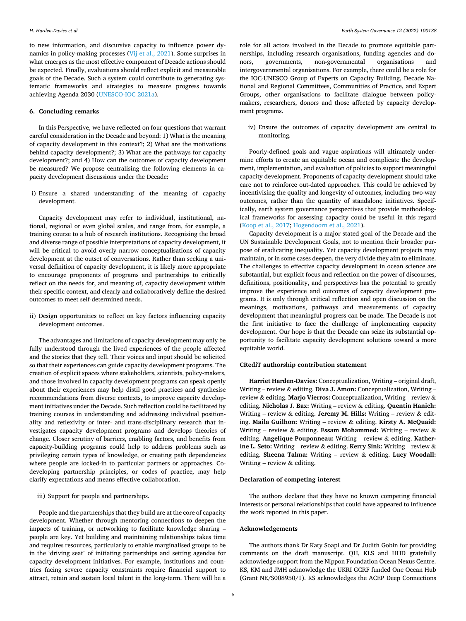to new information, and discursive capacity to influence power dynamics in policy-making processes ([Vij et al., 2021\)](#page-5-0). Some surprises in what emerges as the most effective component of Decade actions should be expected. Finally, evaluations should reflect explicit and measurable goals of the Decade. Such a system could contribute to generating systematic frameworks and strategies to measure progress towards achieving Agenda 2030 [\(UNESCO-IOC 2021a\)](#page-5-0).

## **6. Concluding remarks**

In this Perspective, we have reflected on four questions that warrant careful consideration in the Decade and beyond: 1) What is the meaning of capacity development in this context?; 2) What are the motivations behind capacity development?; 3) What are the pathways for capacity development?; and 4) How can the outcomes of capacity development be measured? We propose centralising the following elements in capacity development discussions under the Decade:

i) Ensure a shared understanding of the meaning of capacity development.

Capacity development may refer to individual, institutional, national, regional or even global scales, and range from, for example, a training course to a hub of research institutions. Recognising the broad and diverse range of possible interpretations of capacity development, it will be critical to avoid overly narrow conceptualisations of capacity development at the outset of conversations. Rather than seeking a universal definition of capacity development, it is likely more appropriate to encourage proponents of programs and partnerships to critically reflect on the needs for, and meaning of, capacity development within their specific context, and clearly and collaboratively define the desired outcomes to meet self-determined needs.

ii) Design opportunities to reflect on key factors influencing capacity development outcomes.

The advantages and limitations of capacity development may only be fully understood through the lived experiences of the people affected and the stories that they tell. Their voices and input should be solicited so that their experiences can guide capacity development programs. The creation of explicit spaces where stakeholders, scientists, policy-makers, and those involved in capacity development programs can speak openly about their experiences may help distil good practices and synthesise recommendations from diverse contexts, to improve capacity development initiatives under the Decade. Such reflection could be facilitated by training courses in understanding and addressing individual positionality and reflexivity or inter- and trans-disciplinary research that investigates capacity development programs and develops theories of change. Closer scrutiny of barriers, enabling factors, and benefits from capacity-building programs could help to address problems such as privileging certain types of knowledge, or creating path dependencies where people are locked-in to particular partners or approaches. Codeveloping partnership principles, or codes of practice, may help clarify expectations and means effective collaboration.

iii) Support for people and partnerships.

People and the partnerships that they build are at the core of capacity development. Whether through mentoring connections to deepen the impacts of training, or networking to facilitate knowledge sharing – people are key. Yet building and maintaining relationships takes time and requires resources, particularly to enable marginalised groups to be in the 'driving seat' of initiating partnerships and setting agendas for capacity development initiatives. For example, institutions and countries facing severe capacity constraints require financial support to attract, retain and sustain local talent in the long-term. There will be a

role for all actors involved in the Decade to promote equitable partnerships, including research organisations, funding agencies and donors, governments, non-governmental organisations and intergovernmental organisations. For example, there could be a role for the IOC-UNESCO Group of Experts on Capacity Building, Decade National and Regional Committees, Communities of Practice, and Expert Groups, other organisations to facilitate dialogue between policymakers, researchers, donors and those affected by capacity development programs.

iv) Ensure the outcomes of capacity development are central to monitoring*.* 

Poorly-defined goals and vague aspirations will ultimately undermine efforts to create an equitable ocean and complicate the development, implementation, and evaluation of policies to support meaningful capacity development. Proponents of capacity development should take care not to reinforce out-dated approaches. This could be achieved by incentivising the quality and longevity of outcomes, including two-way outcomes, rather than the quantity of standalone initiatives. Specifically, earth system governance perspectives that provide methodological frameworks for assessing capacity could be useful in this regard ([Koop et al., 2017](#page-5-0); [Hogendoorn et al., 2021](#page-5-0)).

Capacity development is a major stated goal of the Decade and the UN Sustainable Development Goals, not to mention their broader purpose of eradicating inequality. Yet capacity development projects may maintain, or in some cases deepen, the very divide they aim to eliminate. The challenges to effective capacity development in ocean science are substantial, but explicit focus and reflection on the power of discourses, definitions, positionality, and perspectives has the potential to greatly improve the experience and outcomes of capacity development programs. It is only through critical reflection and open discussion on the meanings, motivations, pathways and measurements of capacity development that meaningful progress can be made. The Decade is not the first initiative to face the challenge of implementing capacity development. Our hope is that the Decade can seize its substantial opportunity to facilitate capacity development solutions toward a more equitable world.

## **CRediT authorship contribution statement**

**Harriet Harden-Davies:** Conceptualization, Writing – original draft, Writing – review & editing. **Diva J. Amon:** Conceptualization, Writing – review & editing. **Marjo Vierros:** Conceptualization, Writing – review & editing. **Nicholas J. Bax:** Writing – review & editing. **Quentin Hanich:**  Writing – review & editing. **Jeremy M. Hills:** Writing – review & editing. **Maila Guilhon:** Writing – review & editing. **Kirsty A. McQuaid:**  Writing – review & editing. **Essam Mohammed:** Writing – review & editing. **Angelique Pouponneau:** Writing – review & editing. **Katherine L. Seto:** Writing – review & editing. **Kerry Sink:** Writing – review & editing. **Sheena Talma:** Writing – review & editing. **Lucy Woodall:**  Writing – review  $&$  editing.

## **Declaration of competing interest**

The authors declare that they have no known competing financial interests or personal relationships that could have appeared to influence the work reported in this paper.

#### **Acknowledgements**

The authors thank Dr Katy Soapi and Dr Judith Gobin for providing comments on the draft manuscript. QH, KLS and HHD gratefully acknowledge support from the Nippon Foundation Ocean Nexus Centre. KS, KM and JMH acknowledge the UKRI GCRF funded One Ocean Hub (Grant NE/S008950/1). KS acknowledges the ACEP Deep Connections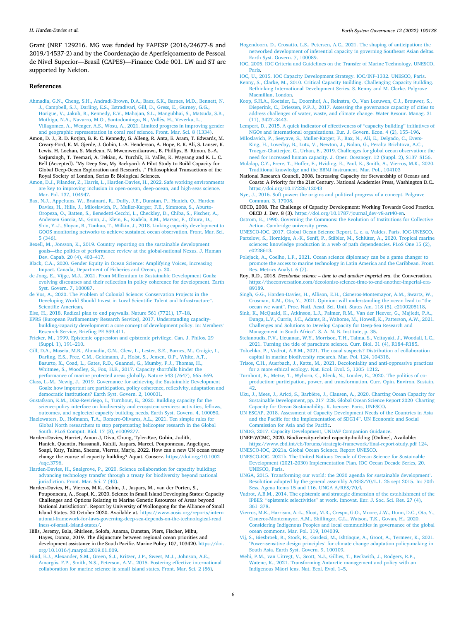<span id="page-5-0"></span>Grant (NRF 129216. MG was funded by FAPESP (2016/24677-8 and 2019/14537-2) and by the Coordenação de Aperfeiçoamento de Pessoal de Nível Superior—Brasil (CAPES)—Finance Code 001. LW and ST are supported by Nekton.

## **References**

- [Ahmadia, G.N., Cheng, S.H., Andradi-Brown, D.A., Baez, S.K., Barnes, M.D., Bennett, N.](http://refhub.elsevier.com/S2589-8116(22)00007-6/sref1)  [J., Campbell, S.J., Darling, E.S., Estradivari, Gill, D., Gress, E., Gurney, G.G.,](http://refhub.elsevier.com/S2589-8116(22)00007-6/sref1) [Horigue, V., Jakub, R., Kennedy, E.V., Mahajan, S.L., Mangubhai, S., Matsuda, S.B.,](http://refhub.elsevier.com/S2589-8116(22)00007-6/sref1)  [Muthiga, N.A., Navarro, M.O., Santodomingo, N., Vall](http://refhub.elsevier.com/S2589-8116(22)00007-6/sref1)ès, H., Veverka, L., [Villagomez, A., Wenger, A.S., Wosu, A., 2021. Limited progress in improving gender](http://refhub.elsevier.com/S2589-8116(22)00007-6/sref1)  [and geographic representation in coral reef science. Front. Mar. Sci. 8 \(1334\).](http://refhub.elsevier.com/S2589-8116(22)00007-6/sref1)
- Amon, D. J., R. D. Rotjan, B. R. C. Kennedy, G. Alleng, R. Anta, E. Aram, T. Edwards, M. Creary-Ford, K. M. Gjerde, J. Gobin, L.-A. Henderson, A. Hope, R. K. Ali, S. Lanser, K. Lewis, H. Lochan, S. Maclean, N. Mwemwenikarawa, B. Phillips, B. Rimon, S.-A. Sarjursingh, T. Teemari, A. Tekiau, A. Turchik, H. Vallès, K. Waysang and K. L. C. Bell (Accepted). "My Deep Sea, My Backyard: A Pilot Study to Build Capacity for Global Deep-Ocean Exploration and Research. ." Philosophical Transactions of the Royal Society of London, Series B: Biological Sciences.
- [Amon, D.J., Filander, Z., Harris, L., Harden-Davies, H., 2022. Safe working environments](http://refhub.elsevier.com/S2589-8116(22)00007-6/sref3)  [are key to improving inclusion in open-ocean, deep-ocean, and high-seas science.](http://refhub.elsevier.com/S2589-8116(22)00007-6/sref3)  [Mar. Pol. 137, 104947](http://refhub.elsevier.com/S2589-8116(22)00007-6/sref3).
- [Bax, N.J., Appeltans, W., Brainard, R., Duffy, J.E., Dunstan, P., Hanich, Q., Harden](http://refhub.elsevier.com/S2589-8116(22)00007-6/sref4) [Davies, H., Hills, J., Miloslavich, P., Muller-Karger, F.E., Simmons, S., Aburto-](http://refhub.elsevier.com/S2589-8116(22)00007-6/sref4)[Oropeza, O., Batten, S., Benedetti-Cecchi, L., Checkley, D., Chiba, S., Fischer, A.,](http://refhub.elsevier.com/S2589-8116(22)00007-6/sref4)  [Andersen Garcia, M., Gunn, J., Klein, E., Kudela, R.M., Marsac, F., Obura, D.,](http://refhub.elsevier.com/S2589-8116(22)00007-6/sref4)  [Shin, Y.-J., Sloyan, B., Tanhua, T., Wilkin, J., 2018. Linking capacity development to](http://refhub.elsevier.com/S2589-8116(22)00007-6/sref4)  [GOOS monitoring networks to achieve sustained ocean observation. Front. Mar. Sci.](http://refhub.elsevier.com/S2589-8116(22)00007-6/sref4)  [5 \(346\).](http://refhub.elsevier.com/S2589-8116(22)00007-6/sref4)
- Bexell, M., Jönsson, K., 2019. Country reporting on the sustainable development goals—[the politics of performance review at the global-national Nexus. J. Human](http://refhub.elsevier.com/S2589-8116(22)00007-6/sref5)  [Dev. Capab. 20 \(4\), 403](http://refhub.elsevier.com/S2589-8116(22)00007-6/sref5)–417.
- [Black, C.A., 2020. Gender Equity in Ocean Science: Amplifying Voices, Increasing](http://refhub.elsevier.com/S2589-8116(22)00007-6/sref6) [Impact. Canada, Department of Fisheries and Ocean, p. 30.](http://refhub.elsevier.com/S2589-8116(22)00007-6/sref6)
- [de Jong, E., Vijge, M.J., 2021. From Millennium to Sustainable Development Goals:](http://refhub.elsevier.com/S2589-8116(22)00007-6/sref8)  [evolving discourses and their reflection in policy coherence for development. Earth](http://refhub.elsevier.com/S2589-8116(22)00007-6/sref8)  [Syst. Govern. 7, 100087](http://refhub.elsevier.com/S2589-8116(22)00007-6/sref8).
- [de Vos, A., 2020. The Problem of Colonial Science: Conservation Projects in the](http://refhub.elsevier.com/S2589-8116(22)00007-6/sref9)  [Developing World Should Invest in Local Scientific Talent and Infrastructure](http://refhub.elsevier.com/S2589-8116(22)00007-6/sref9)". [Scientific American.](http://refhub.elsevier.com/S2589-8116(22)00007-6/sref9)
- [Else, H., 2018. Radical plan to end paywalls. Nature 561 \(7721\), 17](http://refhub.elsevier.com/S2589-8116(22)00007-6/sref10)–18.
- [EPRS \(European Parliamentary Research Service\), 2017. Understanding capacity](http://refhub.elsevier.com/S2589-8116(22)00007-6/sref11)[building/capacity development: a core concept of development policy. In: Members](http://refhub.elsevier.com/S2589-8116(22)00007-6/sref11)' [Research Service, Briefing PE 599.411.](http://refhub.elsevier.com/S2589-8116(22)00007-6/sref11)
- [Fricker, M., 1999. Epistemic oppression and epistemic privilege. Can. J. Philos. 29](http://refhub.elsevier.com/S2589-8116(22)00007-6/sref12) [\(Suppl. 1\), 191](http://refhub.elsevier.com/S2589-8116(22)00007-6/sref12)–210.
- [Gill, D.A., Mascia, M.B., Ahmadia, G.N., Glew, L., Lester, S.E., Barnes, M., Craigie, I.,](http://refhub.elsevier.com/S2589-8116(22)00007-6/sref13) [Darling, E.S., Free, C.M., Geldmann, J., Holst, S., Jensen, O.P., White, A.T.,](http://refhub.elsevier.com/S2589-8116(22)00007-6/sref13)  [Basurto, X., Coad, L., Gates, R.D., Guannel, G., Mumby, P.J., Thomas, H.,](http://refhub.elsevier.com/S2589-8116(22)00007-6/sref13) [Whitmee, S., Woodley, S., Fox, H.E., 2017. Capacity shortfalls hinder the](http://refhub.elsevier.com/S2589-8116(22)00007-6/sref13) [performance of marine protected areas globally. Nature 543 \(7647\), 665](http://refhub.elsevier.com/S2589-8116(22)00007-6/sref13)–669.
- [Glass, L.-M., Newig, J., 2019. Governance for achieving the Sustainable Development](http://refhub.elsevier.com/S2589-8116(22)00007-6/sref14) [Goals: how important are participation, policy coherence, reflexivity, adaptation and](http://refhub.elsevier.com/S2589-8116(22)00007-6/sref14)  [democratic institutions? Earth Syst. Govern. 2, 100031](http://refhub.elsevier.com/S2589-8116(22)00007-6/sref14).
- [Gustafsson, K.M., Díaz-Reviriego, I., Turnhout, E., 2020. Building capacity for the](http://refhub.elsevier.com/S2589-8116(22)00007-6/sref15)  [science-policy interface on biodiversity and ecosystem services: activities, fellows,](http://refhub.elsevier.com/S2589-8116(22)00007-6/sref15) [outcomes, and neglected capacity building needs. Earth Syst. Govern. 4, 100050](http://refhub.elsevier.com/S2589-8116(22)00007-6/sref15).
- [Haelewaters, D., Hofmann, T.A., Romero-Olivares, A.L., 2021. Ten simple rules for](http://refhub.elsevier.com/S2589-8116(22)00007-6/sref16)  [Global North researchers to stop perpetuating helicopter research in the Global](http://refhub.elsevier.com/S2589-8116(22)00007-6/sref16)  [South. PLoS Comput. Biol. 17 \(8\), e1009277.](http://refhub.elsevier.com/S2589-8116(22)00007-6/sref16)
- Harden-Davies, Harriet, Amon J, Diva, Chung, Tyler-Rae, Gobin, Judith, Hanich, Quentin, Hassanali, Kahlil, Jaspars, Marcel, Pouponneau, Angelique, Soapi, Katy, Talma, Sheena, Vierros, Marjo, 2022. How can a new UN ocean treaty change the course of capacity building? Aquat. Conserv. [https://doi.org/10.1002](https://doi.org/10.1002/aqc.3796)  [/aqc.3796.](https://doi.org/10.1002/aqc.3796)
- [Harden-Davies, H., Snelgrove, P., 2020. Science collaboration for capacity building:](http://refhub.elsevier.com/S2589-8116(22)00007-6/sref17) [advancing technology transfer through a treaty for biodiversity beyond national](http://refhub.elsevier.com/S2589-8116(22)00007-6/sref17) [jurisdiction. Front. Mar. Sci. 7 \(40\).](http://refhub.elsevier.com/S2589-8116(22)00007-6/sref17)
- Harden-Davies, H., Vierros, M.K., Gobin, J., Jaspars, M., van der Porten, S., Pouponneau, A., Soapi, K., 2020. Science in Small Island Developing States: Capacity Challenges and Options Relating to Marine Genetic Resources of Areas beyond National Jurisdiction". Report by University of Wollongong for the Alliance of Small Island States. 30 October 2020. Available at. [https://www.aosis.org/reports/intern](https://www.aosis.org/reports/international-framework-for-laws-governing-deep-sea-depends-on-the-technological-readiness-of-small-island-states/) [ational-framework-for-laws-governing-deep-sea-depends-on-the-technological-read](https://www.aosis.org/reports/international-framework-for-laws-governing-deep-sea-depends-on-the-technological-readiness-of-small-island-states/) [iness-of-small-island-states/.](https://www.aosis.org/reports/international-framework-for-laws-governing-deep-sea-depends-on-the-technological-readiness-of-small-island-states/)
- Hills, Jeremy, Bala, Shirleen, Solofa, Anama, Dunstan, Piers, Fischer, Mibu, Hayes, Donna, 2019. The disjuncture between regional ocean priorities and development assistance in the South Pacific. Marine Policy 107, 103420. [https://doi.](https://doi.org/10.1016/j.marpol.2019.01.009)  [org/10.1016/j.marpol.2019.01.009.](https://doi.org/10.1016/j.marpol.2019.01.009)
- [Hind, E.J., Alexander, S.M., Green, S.J., Kritzer, J.P., Sweet, M.J., Johnson, A.E.,](http://refhub.elsevier.com/S2589-8116(22)00007-6/sref19) Amargós, [F.P., Smith, N.S., Peterson, A.M., 2015. Fostering effective international](http://refhub.elsevier.com/S2589-8116(22)00007-6/sref19) [collaboration for marine science in small island states. Front. Mar. Sci. 2 \(86\)](http://refhub.elsevier.com/S2589-8116(22)00007-6/sref19).
- [Hogendoorn, D., Croxatto, L.S., Petersen, A.C., 2021. The shaping of anticipation: the](http://refhub.elsevier.com/S2589-8116(22)00007-6/sref20)  [networked development of inferential capacity in governing Southeast Asian deltas.](http://refhub.elsevier.com/S2589-8116(22)00007-6/sref20)  [Earth Syst. Govern. 7, 100089.](http://refhub.elsevier.com/S2589-8116(22)00007-6/sref20)
- [IOC, 2005. IOC Criteria and Guidelines on the Transfer of Marine Technology. UNESCO,](http://refhub.elsevier.com/S2589-8116(22)00007-6/sref21)  [Paris](http://refhub.elsevier.com/S2589-8116(22)00007-6/sref21).

[IOC, U., 2015. IOC Capacity Development Strategy. IOC/INF-1332. UNESCO, Paris.](http://refhub.elsevier.com/S2589-8116(22)00007-6/sref22)

- [Kenny, S., Clarke, M., 2010. Critical Capacity Building. Challenging Capacity Building.](http://refhub.elsevier.com/S2589-8116(22)00007-6/sref23) [Rethinking International Development Series. S. Kenny and M. Clarke. Palgrave](http://refhub.elsevier.com/S2589-8116(22)00007-6/sref23) [Macmillan, London](http://refhub.elsevier.com/S2589-8116(22)00007-6/sref23).
- [Koop, S.H.A., Koetsier, L., Doornhof, A., Reinstra, O., Van Leeuwen, C.J., Brouwer, S.,](http://refhub.elsevier.com/S2589-8116(22)00007-6/sref24) [Dieperink, C., Driessen, P.P.J., 2017. Assessing the governance capacity of cities to](http://refhub.elsevier.com/S2589-8116(22)00007-6/sref24) [address challenges of water, waste, and climate change. Water Resour. Manag. 31](http://refhub.elsevier.com/S2589-8116(22)00007-6/sref24)  [\(11\), 3427](http://refhub.elsevier.com/S2589-8116(22)00007-6/sref24)–3443.
- [Lempert, D., 2015. A quick indicator of effectiveness of](http://refhub.elsevier.com/S2589-8116(22)00007-6/sref25) "capacity building" initiatives of [NGOs and international organizations. Eur. J. Govern. Econ. 4 \(2\), 155](http://refhub.elsevier.com/S2589-8116(22)00007-6/sref25)–196.
- [Miloslavich, P., Seeyave, S., Muller-Karger, F., Bax, N., Ali, E., Delgado, C., Evers-](http://refhub.elsevier.com/S2589-8116(22)00007-6/sref26)[King, H., Loveday, B., Lutz, V., Newton, J., Nolan, G., Peralta Brichtova, A.C.,](http://refhub.elsevier.com/S2589-8116(22)00007-6/sref26) [Traeger-Chatterjee, C., Urban, E., 2019. Challenges for global ocean observation: the](http://refhub.elsevier.com/S2589-8116(22)00007-6/sref26)  [need for increased human capacity. J. Oper. Oceanogr. 12 \(Suppl. 2\), S137](http://refhub.elsevier.com/S2589-8116(22)00007-6/sref26)–S156.
- [Mulalap, C.Y., Frere, T., Huffer, E., Hviding, E., Paul, K., Smith, A., Vierros, M.K., 2020.](http://refhub.elsevier.com/S2589-8116(22)00007-6/sref27)  [Traditional knowledge and the BBNJ instrument. Mar. Pol., 104103](http://refhub.elsevier.com/S2589-8116(22)00007-6/sref27)
- National Research Council, 2008. Increasing Capacity for Stewardship of Oceans and Coasts: A Priority for the 21st Century. National Academies Press, Washington D.C.. <https://doi.org/10.17226/12043>
- [Nye, J., 2016. Soft power: the origins and political progress of a concept. Palgrave](http://refhub.elsevier.com/S2589-8116(22)00007-6/sref28)  [Commun. 3, 17008](http://refhub.elsevier.com/S2589-8116(22)00007-6/sref28).
- OECD, 2008. The Challenge of Capacity Development: Working Towards Good Practice. OECD J. Dev. 8 (3). [https://doi.org/10.1787/journal\\_dev-v8-art40-en](https://doi.org/10.1787/journal_dev-v8-art40-en).
- [Ostrom, E., 1990. Governing the Commons: the Evolution of Institutions for Collective](http://refhub.elsevier.com/S2589-8116(22)00007-6/sref29)  [Action. Cambridge university press](http://refhub.elsevier.com/S2589-8116(22)00007-6/sref29).
- [UNESCO-IOC, 2017. Global Ocean Science Report. L. e. a. Valdes. Paris. IOC-UNESCO](http://refhub.elsevier.com/S2589-8116(22)00007-6/sref30).
- Partelow, S., Hornidge, A.-K., Senff, P., Stäbler, M., Schlüter, A., 2020. Tropical marine [sciences: knowledge production in a web of path dependencies. PLoS One 15 \(2\),](http://refhub.elsevier.com/S2589-8116(22)00007-6/sref31) [e0228613.](http://refhub.elsevier.com/S2589-8116(22)00007-6/sref31)
- [Polejack, A., Coelho, L.F., 2021. Ocean science diplomacy can be a game changer to](http://refhub.elsevier.com/S2589-8116(22)00007-6/sref32)  [promote the access to marine technology in Latin America and the Caribbean. Front.](http://refhub.elsevier.com/S2589-8116(22)00007-6/sref32)  [Res. Metrics Analyt. 6 \(7\).](http://refhub.elsevier.com/S2589-8116(22)00007-6/sref32)
- Roy, R.D., 2018. *Decolonise science time to end another imperial era*. the Conversation. [https://theconversation.com/decolonise-science-time-to-end-another-imperial-era-](https://theconversation.com/decolonise-science-time-to-end-another-imperial-era-89189)[89189.](https://theconversation.com/decolonise-science-time-to-end-another-imperial-era-89189)
- [Singh, G.G., Harden-Davies, H., Allison, E.H., Cisneros-Montemayor, A.M., Swartz, W.,](http://refhub.elsevier.com/S2589-8116(22)00007-6/sref34)  [Crosman, K.M., Ota, Y., 2021. Opinion: will understanding the ocean lead to](http://refhub.elsevier.com/S2589-8116(22)00007-6/sref34) "the ocean we want"[. Proc. Natl. Acad. Sci. Unit. States Am. 118 \(5\), e2100205118](http://refhub.elsevier.com/S2589-8116(22)00007-6/sref34).
- [Sink, K., McQuaid, K., Atkinson, L.J., Palmer, R.M., Van der Heever, G., Majiedt, P.A.,](http://refhub.elsevier.com/S2589-8116(22)00007-6/sref35) [Dunga, L.V., Currie, J.C., Adams, R., Wahome, M., Howell, K., Patterson, A.W., 2021.](http://refhub.elsevier.com/S2589-8116(22)00007-6/sref35)  [Challenges and Solutions to Develop Capacity for Deep-Sea Research and](http://refhub.elsevier.com/S2589-8116(22)00007-6/sref35) [Management in South Africa](http://refhub.elsevier.com/S2589-8116(22)00007-6/sref35)". S. A. N. B. Institute, p. 35.
- [Stefanoudis, P.V., Licuanan, W.Y., Morrison, T.H., Talma, S., Veitayaki, J., Woodall, L.C.,](http://refhub.elsevier.com/S2589-8116(22)00007-6/sref36)  [2021. Turning the tide of parachute science. Curr. Biol. 31 \(4\), R184](http://refhub.elsevier.com/S2589-8116(22)00007-6/sref36)–R185.
- [Tolochko, P., Vadrot, A.B.M., 2021. The usual suspects? Distribution of collaboration](http://refhub.elsevier.com/S2589-8116(22)00007-6/sref37)  [capital in marine biodiversity research. Mar. Pol. 124, 104318.](http://refhub.elsevier.com/S2589-8116(22)00007-6/sref37)
- [Trisos, C.H., Auerbach, J., Kattu, M., 2021. Decoloniality and anti-oppressive practices](http://refhub.elsevier.com/S2589-8116(22)00007-6/sref38)  [for a more ethical ecology. Nat. Ecol. Evol. 5, 1205](http://refhub.elsevier.com/S2589-8116(22)00007-6/sref38)–1212.
- [Turnhout, E., Metze, T., Wyborn, C., Klenk, N., Louder, E., 2020. The politics of co](http://refhub.elsevier.com/S2589-8116(22)00007-6/sref39)[production: participation, power, and transformation. Curr. Opin. Environ. Sustain.](http://refhub.elsevier.com/S2589-8116(22)00007-6/sref39)  [42.](http://refhub.elsevier.com/S2589-8116(22)00007-6/sref39)
- Uku, J., Mees, J., Aricó, S., Barbière, J., Clausen, A., 2020. Charting Ocean Capacity for Sustainable Development, pp. 217–[228. Global Ocean Science Report 2020](http://refhub.elsevier.com/S2589-8116(22)00007-6/sref40)–Charting [Capacity for Ocean Sustainability. K. Isensee. Paris, UNESCO](http://refhub.elsevier.com/S2589-8116(22)00007-6/sref40).
- [UN ESCAP, 2018. Assessment of Capacity Development Needs of the Countries in Asia](http://refhub.elsevier.com/S2589-8116(22)00007-6/sref41) [and the Pacific for the Implementation of SDG14](http://refhub.elsevier.com/S2589-8116(22)00007-6/sref41)". UN Economic and Social [Commission for Asia and the Pacific.](http://refhub.elsevier.com/S2589-8116(22)00007-6/sref41)
- [UNDG, 2017. Capacity Development, UNDAF Companion Guidance](http://refhub.elsevier.com/S2589-8116(22)00007-6/sref42).

UNEP-WCMC, 2020. Biodiversity-related capacity-building [Online], Available: [https://www.cbd.int/cb/forums/strategic-framework/final-report-study.pdf 124.](https://www.cbd.int/cb/forums/strategic-framework/final-report-study.pdf%20124) [UNESCO-IOC, 2021a. Global Ocean Science. Report UNESCO.](http://refhub.elsevier.com/S2589-8116(22)00007-6/sref44)

- [UNESCO-IOC, 2021b. The United Nations Decade of Ocean Science for Sustainable](http://refhub.elsevier.com/S2589-8116(22)00007-6/sref45) [Development \(2021-2030\) Implementation Plan. IOC Ocean Decade Series, 20.](http://refhub.elsevier.com/S2589-8116(22)00007-6/sref45)  [UNESCO, Paris](http://refhub.elsevier.com/S2589-8116(22)00007-6/sref45).
- [UNGA, 2015. Transforming our world: the 2030 agenda for sustainable development](http://refhub.elsevier.com/S2589-8116(22)00007-6/sref46)'. [Resolution adopted by the general assembly A/RES/70/L.1. 25 sept 2015. In: 70th](http://refhub.elsevier.com/S2589-8116(22)00007-6/sref46)  [Sess, Agena Items 15 and 116. UNGA A/RES/70/l.](http://refhub.elsevier.com/S2589-8116(22)00007-6/sref46)
- [Vadrot, A.B.M., 2014. The epistemic and strategic dimension of the establishment of the](http://refhub.elsevier.com/S2589-8116(22)00007-6/sref47)  IPBES: "epistemic selectivities" [at work. Innovat. Eur. J. Soc. Sci. Res. 27 \(4\),](http://refhub.elsevier.com/S2589-8116(22)00007-6/sref47)  361–[378](http://refhub.elsevier.com/S2589-8116(22)00007-6/sref47).
- [Vierros, M.K., Harrison, A.-L., Sloat, M.R., Crespo, G.O., Moore, J.W., Dunn, D.C., Ota, Y.,](http://refhub.elsevier.com/S2589-8116(22)00007-6/sref48)  [Cisneros-Montemayor, A.M., Shillinger, G.L., Watson, T.K., Govan, H., 2020.](http://refhub.elsevier.com/S2589-8116(22)00007-6/sref48)  [Considering Indigenous Peoples and local communities in governance of the global](http://refhub.elsevier.com/S2589-8116(22)00007-6/sref48)  [ocean commons. Mar. Pol. 119, 104039](http://refhub.elsevier.com/S2589-8116(22)00007-6/sref48).
- [Vij, S., Biesbroek, R., Stock, R., Gardezi, M., Ishtiaque, A., Groot, A., Termeer, K., 2021.](http://refhub.elsevier.com/S2589-8116(22)00007-6/sref49)  'Power-sensitive design principles' [for climate change adaptation policy-making in](http://refhub.elsevier.com/S2589-8116(22)00007-6/sref49)  [South Asia. Earth Syst. Govern. 9, 100109](http://refhub.elsevier.com/S2589-8116(22)00007-6/sref49).
- [Wehi, P.M., van Uitregt, V., Scott, N.J., Gillies, T., Beckwith, J., Rodgers, R.P.,](http://refhub.elsevier.com/S2589-8116(22)00007-6/sref50)  [Watene, K., 2021. Transforming Antarctic management and policy with an](http://refhub.elsevier.com/S2589-8116(22)00007-6/sref50) Indigenous Māori [lens. Nat. Ecol. Evol. 1](http://refhub.elsevier.com/S2589-8116(22)00007-6/sref50)-5.